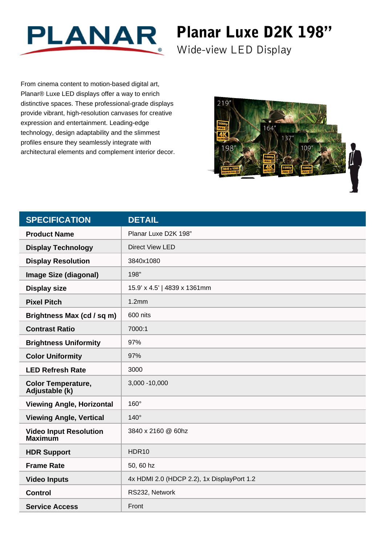

## Planar Luxe D2K 198"

Wide-view LED Display

From cinema content to motion-based digital art, Planar® Luxe LED displays offer a way to enrich distinctive spaces. These professional-grade displays provide vibrant, high-resolution canvases for creative expression and entertainment. Leading-edge technology, design adaptability and the slimmest profiles ensure they seamlessly integrate with architectural elements and complement interior decor.



| <b>SPECIFICATION</b>                            | <b>DETAIL</b>                              |
|-------------------------------------------------|--------------------------------------------|
| <b>Product Name</b>                             | Planar Luxe D2K 198"                       |
| <b>Display Technology</b>                       | <b>Direct View LED</b>                     |
| <b>Display Resolution</b>                       | 3840x1080                                  |
| <b>Image Size (diagonal)</b>                    | 198"                                       |
| <b>Display size</b>                             | 15.9' x 4.5'   4839 x 1361mm               |
| <b>Pixel Pitch</b>                              | 1.2mm                                      |
| Brightness Max (cd / sq m)                      | 600 nits                                   |
| <b>Contrast Ratio</b>                           | 7000:1                                     |
| <b>Brightness Uniformity</b>                    | 97%                                        |
| <b>Color Uniformity</b>                         | 97%                                        |
| <b>LED Refresh Rate</b>                         | 3000                                       |
| <b>Color Temperature,</b><br>Adjustable (k)     | 3,000 - 10,000                             |
| <b>Viewing Angle, Horizontal</b>                | $160^\circ$                                |
| <b>Viewing Angle, Vertical</b>                  | $140^\circ$                                |
| <b>Video Input Resolution</b><br><b>Maximum</b> | 3840 x 2160 @ 60hz                         |
| <b>HDR Support</b>                              | HDR <sub>10</sub>                          |
| <b>Frame Rate</b>                               | 50, 60 hz                                  |
| <b>Video Inputs</b>                             | 4x HDMI 2.0 (HDCP 2.2), 1x DisplayPort 1.2 |
| <b>Control</b>                                  | RS232, Network                             |
| <b>Service Access</b>                           | Front                                      |